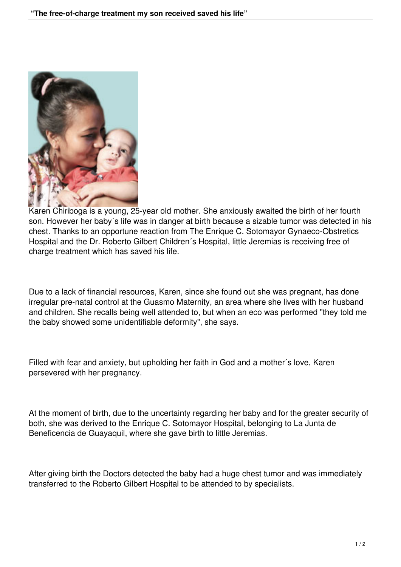

Karen Chiriboga is a young, 25-year old mother. She anxiously awaited the birth of her fourth son. However her baby´s life was in danger at birth because a sizable tumor was detected in his chest. Thanks to an opportune reaction from The Enrique C. Sotomayor Gynaeco-Obstretics Hospital and the Dr. Roberto Gilbert Children´s Hospital, little Jeremias is receiving free of charge treatment which has saved his life.

Due to a lack of financial resources, Karen, since she found out she was pregnant, has done irregular pre-natal control at the Guasmo Maternity, an area where she lives with her husband and children. She recalls being well attended to, but when an eco was performed "they told me the baby showed some unidentifiable deformity", she says.

Filled with fear and anxiety, but upholding her faith in God and a mother´s love, Karen persevered with her pregnancy.

At the moment of birth, due to the uncertainty regarding her baby and for the greater security of both, she was derived to the Enrique C. Sotomayor Hospital, belonging to La Junta de Beneficencia de Guayaquil, where she gave birth to little Jeremias.

After giving birth the Doctors detected the baby had a huge chest tumor and was immediately transferred to the Roberto Gilbert Hospital to be attended to by specialists.